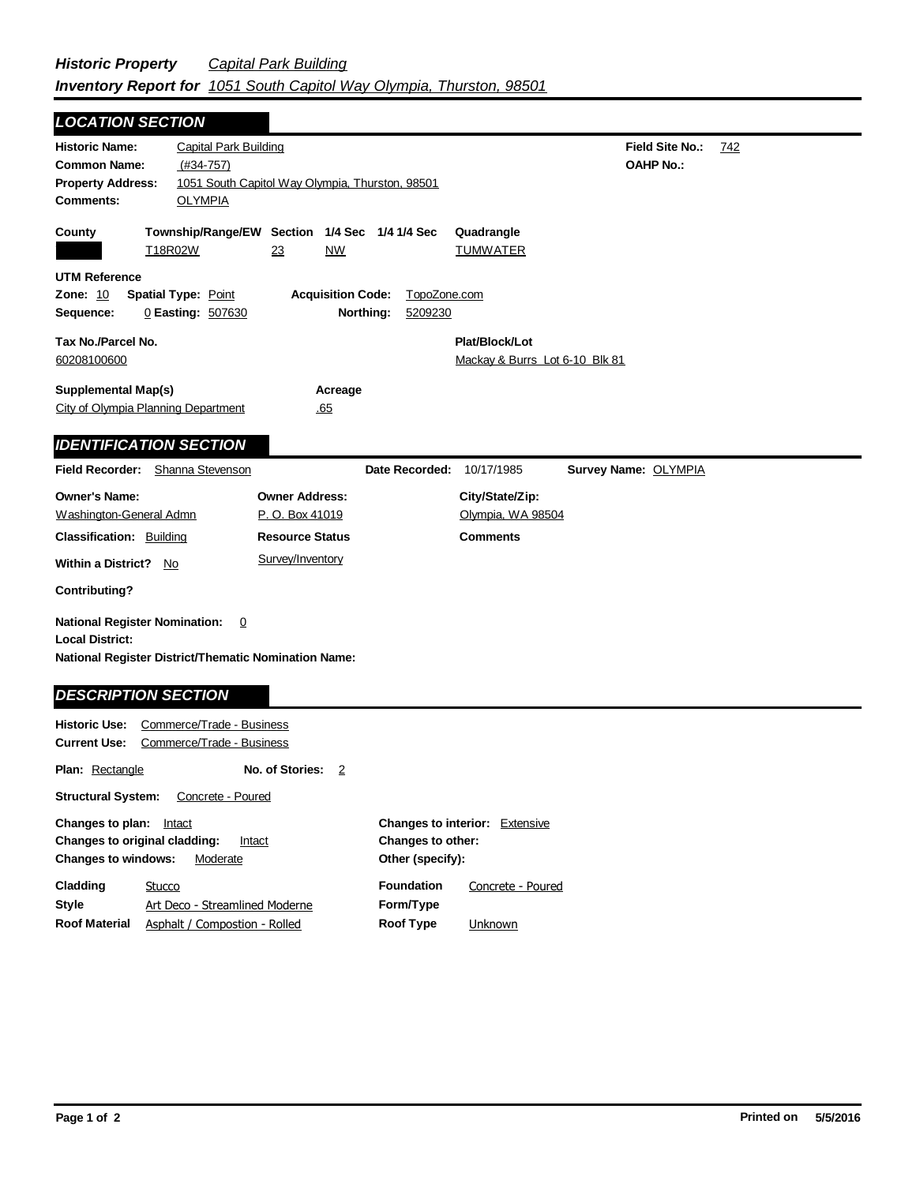| <b>LOCATION SECTION</b>                                                                                                       |                                                               |                                                           |                           |                                                  |                                            |     |
|-------------------------------------------------------------------------------------------------------------------------------|---------------------------------------------------------------|-----------------------------------------------------------|---------------------------|--------------------------------------------------|--------------------------------------------|-----|
| <b>Historic Name:</b><br><b>Common Name:</b><br><b>Property Address:</b><br><b>Comments:</b>                                  | <b>Capital Park Building</b><br>$(H34-757)$<br><b>OLYMPIA</b> | 1051 South Capitol Way Olympia, Thurston, 98501           |                           |                                                  | <b>Field Site No.:</b><br><b>OAHP No.:</b> | 742 |
| County                                                                                                                        | T18R02W                                                       | Township/Range/EW Section 1/4 Sec 1/4 1/4 Sec<br>23<br>NW |                           | Quadrangle<br><b>TUMWATER</b>                    |                                            |     |
| <b>UTM Reference</b><br><b>Zone: 10</b><br>Sequence:                                                                          | <b>Spatial Type: Point</b><br>0 Easting: 507630               | <b>Acquisition Code:</b><br>Northing:                     | TopoZone.com<br>5209230   |                                                  |                                            |     |
| Tax No./Parcel No.<br>60208100600                                                                                             |                                                               |                                                           |                           | Plat/Block/Lot<br>Mackay & Burrs Lot 6-10 Blk 81 |                                            |     |
| <b>Supplemental Map(s)</b><br>City of Olympia Planning Department                                                             |                                                               | Acreage<br>.65                                            |                           |                                                  |                                            |     |
| <b>IDENTIFICATION SECTION</b>                                                                                                 |                                                               |                                                           |                           |                                                  |                                            |     |
| <b>Field Recorder:</b>                                                                                                        | Shanna Stevenson                                              |                                                           | Date Recorded: 10/17/1985 |                                                  | Survey Name: OLYMPIA                       |     |
| <b>Owner's Name:</b><br>Washington-General Admn                                                                               |                                                               | <b>Owner Address:</b><br>P.O. Box 41019                   |                           | City/State/Zip:<br>Olympia, WA 98504             |                                            |     |
| <b>Classification: Building</b>                                                                                               |                                                               | <b>Resource Status</b>                                    |                           | <b>Comments</b>                                  |                                            |     |
| <b>Within a District?</b><br>No                                                                                               |                                                               | Survey/Inventory                                          |                           |                                                  |                                            |     |
| Contributing?                                                                                                                 |                                                               |                                                           |                           |                                                  |                                            |     |
| <b>National Register Nomination:</b><br><b>Local District:</b><br><b>National Register District/Thematic Nomination Name:</b> | 0                                                             |                                                           |                           |                                                  |                                            |     |
| <b>DESCRIPTION SECTION</b>                                                                                                    |                                                               |                                                           |                           |                                                  |                                            |     |
| <b>Historic Use:</b><br>Current Use:                                                                                          | Commerce/Trade - Business<br>Commerce/Trade - Business        |                                                           |                           |                                                  |                                            |     |
| <b>Plan: Rectangle</b>                                                                                                        |                                                               | No. of Stories:<br>2                                      |                           |                                                  |                                            |     |

**Other (specify):** Structural System: Concrete - Poured Changes to plan: **Intact Changes to original cladding: Intact Changes to windows:** Moderate **Changes to interior:** Extensive **Changes to other:**

| Cladding             | Stucco                         | <b>Foundation</b> | Concrete - Poured |
|----------------------|--------------------------------|-------------------|-------------------|
| <b>Style</b>         | Art Deco - Streamlined Moderne | Form/Type         |                   |
| <b>Roof Material</b> | Asphalt / Compostion - Rolled  | Roof Type         | Unknown           |